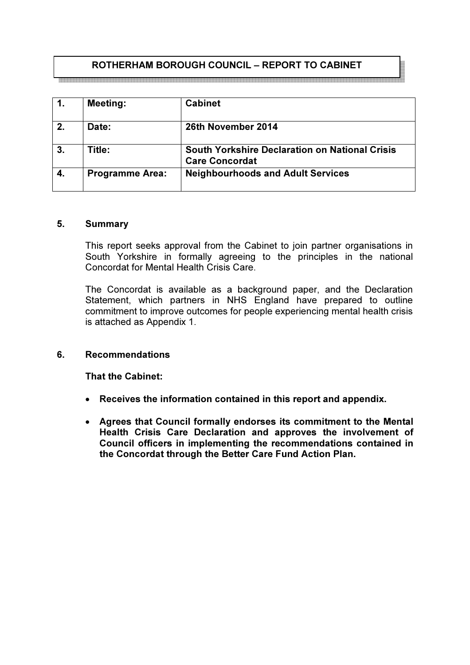# ROTHERHAM BOROUGH COUNCIL – REPORT TO CABINET

| 1. | <b>Meeting:</b>        | <b>Cabinet</b>                                                                 |
|----|------------------------|--------------------------------------------------------------------------------|
| 2. | Date:                  | 26th November 2014                                                             |
| 3. | Title:                 | <b>South Yorkshire Declaration on National Crisis</b><br><b>Care Concordat</b> |
|    | <b>Programme Area:</b> | <b>Neighbourhoods and Adult Services</b>                                       |

#### 5. Summary

This report seeks approval from the Cabinet to join partner organisations in South Yorkshire in formally agreeing to the principles in the national Concordat for Mental Health Crisis Care.

The Concordat is available as a background paper, and the Declaration Statement, which partners in NHS England have prepared to outline commitment to improve outcomes for people experiencing mental health crisis is attached as Appendix 1.

#### 6. Recommendations

That the Cabinet:

- Receives the information contained in this report and appendix.
- Agrees that Council formally endorses its commitment to the Mental Health Crisis Care Declaration and approves the involvement of Council officers in implementing the recommendations contained in the Concordat through the Better Care Fund Action Plan.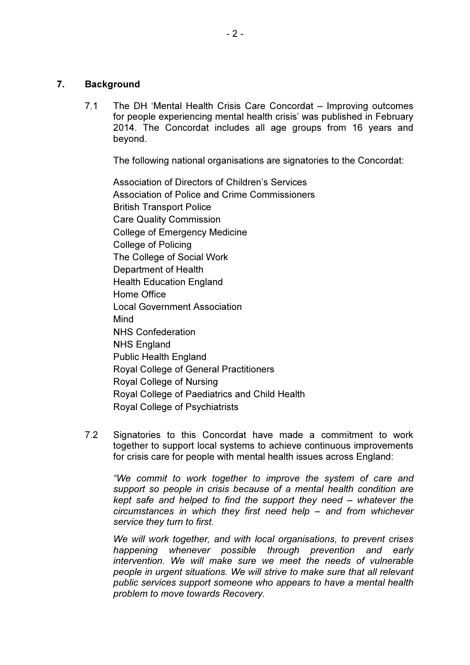# 7. Background

7.1 The DH 'Mental Health Crisis Care Concordat – Improving outcomes for people experiencing mental health crisis' was published in February 2014. The Concordat includes all age groups from 16 years and beyond.

The following national organisations are signatories to the Concordat:

Association of Directors of Children's Services Association of Police and Crime Commissioners British Transport Police Care Quality Commission College of Emergency Medicine College of Policing The College of Social Work Department of Health Health Education England Home Office Local Government Association Mind NHS Confederation NHS England Public Health England Royal College of General Practitioners Royal College of Nursing Royal College of Paediatrics and Child Health Royal College of Psychiatrists

7.2 Signatories to this Concordat have made a commitment to work together to support local systems to achieve continuous improvements for crisis care for people with mental health issues across England:

"We commit to work together to improve the system of care and support so people in crisis because of a mental health condition are kept safe and helped to find the support they need – whatever the circumstances in which they first need help – and from whichever service they turn to first.

We will work together, and with local organisations, to prevent crises happening whenever possible through prevention and early intervention. We will make sure we meet the needs of vulnerable people in urgent situations. We will strive to make sure that all relevant public services support someone who appears to have a mental health problem to move towards Recovery.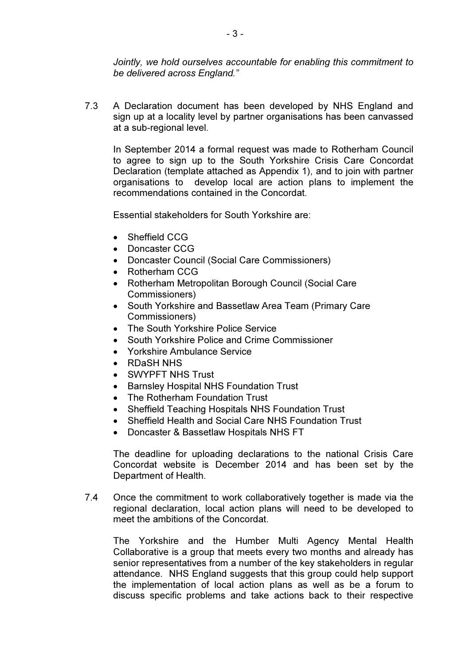Jointly, we hold ourselves accountable for enabling this commitment to be delivered across England."

7.3 A Declaration document has been developed by NHS England and sign up at a locality level by partner organisations has been canvassed at a sub-regional level.

In September 2014 a formal request was made to Rotherham Council to agree to sign up to the South Yorkshire Crisis Care Concordat Declaration (template attached as Appendix 1), and to join with partner organisations to develop local are action plans to implement the recommendations contained in the Concordat.

Essential stakeholders for South Yorkshire are:

- Sheffield CCG
- Doncaster CCG
- Doncaster Council (Social Care Commissioners)
- Rotherham CCG
- Rotherham Metropolitan Borough Council (Social Care Commissioners)
- South Yorkshire and Bassetlaw Area Team (Primary Care Commissioners)
- The South Yorkshire Police Service
- South Yorkshire Police and Crime Commissioner
- Yorkshire Ambulance Service
- RDaSH NHS
- SWYPFT NHS Trust
- Barnsley Hospital NHS Foundation Trust
- The Rotherham Foundation Trust
- Sheffield Teaching Hospitals NHS Foundation Trust
- Sheffield Health and Social Care NHS Foundation Trust
- Doncaster & Bassetlaw Hospitals NHS FT

The deadline for uploading declarations to the national Crisis Care Concordat website is December 2014 and has been set by the Department of Health.

7.4 Once the commitment to work collaboratively together is made via the regional declaration, local action plans will need to be developed to meet the ambitions of the Concordat.

The Yorkshire and the Humber Multi Agency Mental Health Collaborative is a group that meets every two months and already has senior representatives from a number of the key stakeholders in regular attendance. NHS England suggests that this group could help support the implementation of local action plans as well as be a forum to discuss specific problems and take actions back to their respective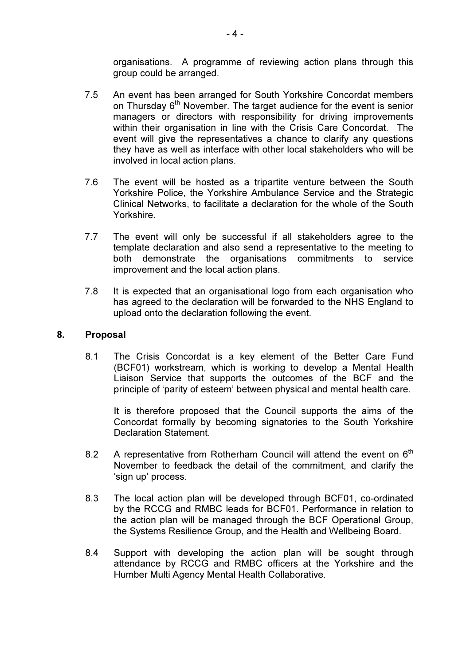organisations. A programme of reviewing action plans through this group could be arranged.

- 7.5 An event has been arranged for South Yorkshire Concordat members on Thursday  $6<sup>th</sup>$  November. The target audience for the event is senior managers or directors with responsibility for driving improvements within their organisation in line with the Crisis Care Concordat. The event will give the representatives a chance to clarify any questions they have as well as interface with other local stakeholders who will be involved in local action plans.
- 7.6 The event will be hosted as a tripartite venture between the South Yorkshire Police, the Yorkshire Ambulance Service and the Strategic Clinical Networks, to facilitate a declaration for the whole of the South Yorkshire.
- 7.7 The event will only be successful if all stakeholders agree to the template declaration and also send a representative to the meeting to both demonstrate the organisations commitments to service improvement and the local action plans.
- 7.8 It is expected that an organisational logo from each organisation who has agreed to the declaration will be forwarded to the NHS England to upload onto the declaration following the event.

## 8. Proposal

8.1 The Crisis Concordat is a key element of the Better Care Fund (BCF01) workstream, which is working to develop a Mental Health Liaison Service that supports the outcomes of the BCF and the principle of 'parity of esteem' between physical and mental health care.

It is therefore proposed that the Council supports the aims of the Concordat formally by becoming signatories to the South Yorkshire Declaration Statement.

- 8.2 A representative from Rotherham Council will attend the event on  $6<sup>th</sup>$ November to feedback the detail of the commitment, and clarify the 'sign up' process.
- 8.3 The local action plan will be developed through BCF01, co-ordinated by the RCCG and RMBC leads for BCF01. Performance in relation to the action plan will be managed through the BCF Operational Group, the Systems Resilience Group, and the Health and Wellbeing Board.
- 8.4 Support with developing the action plan will be sought through attendance by RCCG and RMBC officers at the Yorkshire and the Humber Multi Agency Mental Health Collaborative.